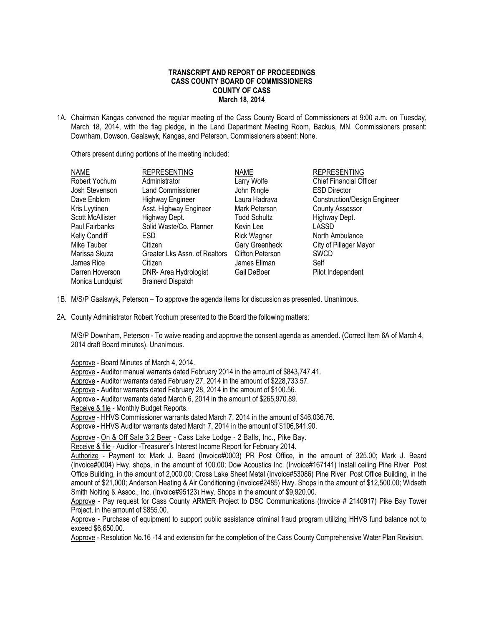#### **TRANSCRIPT AND REPORT OF PROCEEDINGS CASS COUNTY BOARD OF COMMISSIONERS COUNTY OF CASS March 18, 2014**

1A. Chairman Kangas convened the regular meeting of the Cass County Board of Commissioners at 9:00 a.m. on Tuesday, March 18, 2014, with the flag pledge, in the Land Department Meeting Room, Backus, MN. Commissioners present: Downham, Dowson, Gaalswyk, Kangas, and Peterson. Commissioners absent: None.

Others present during portions of the meeting included:

| <b>NAME</b>             | <b>REPRESENTING</b>           | <b>NAME</b>             | <b>REPRESENTING</b>                 |
|-------------------------|-------------------------------|-------------------------|-------------------------------------|
| Robert Yochum           | Administrator                 | Larry Wolfe             | Chief Financial Officer             |
| Josh Stevenson          | Land Commissioner             | John Ringle             | <b>ESD Director</b>                 |
| Dave Enblom             | <b>Highway Engineer</b>       | Laura Hadrava           | <b>Construction/Design Engineer</b> |
| Kris Lyytinen           | Asst. Highway Engineer        | Mark Peterson           | <b>County Assessor</b>              |
| <b>Scott McAllister</b> | Highway Dept.                 | <b>Todd Schultz</b>     | Highway Dept.                       |
| <b>Paul Fairbanks</b>   | Solid Waste/Co. Planner       | Kevin Lee               | LASSD                               |
| Kelly Condiff           | ESD.                          | <b>Rick Wagner</b>      | North Ambulance                     |
| Mike Tauber             | Citizen                       | Gary Greenheck          | City of Pillager Mayor              |
| Marissa Skuza           | Greater Lks Assn. of Realtors | <b>Clifton Peterson</b> | <b>SWCD</b>                         |
| James Rice              | Citizen                       | James Ellman            | Self                                |
| Darren Hoverson         | DNR- Area Hydrologist         | Gail DeBoer             | Pilot Independent                   |
| Monica Lundquist        | <b>Brainerd Dispatch</b>      |                         |                                     |

- 1B. M/S/P Gaalswyk, Peterson To approve the agenda items for discussion as presented. Unanimous.
- 2A. County Administrator Robert Yochum presented to the Board the following matters:

M/S/P Downham, Peterson - To waive reading and approve the consent agenda as amended. (Correct Item 6A of March 4, 2014 draft Board minutes). Unanimous.

Approve - Board Minutes of March 4, 2014.

Approve - Auditor manual warrants dated February 2014 in the amount of \$843,747.41.

Approve - Auditor warrants dated February 27, 2014 in the amount of \$228,733.57.

Approve - Auditor warrants dated February 28, 2014 in the amount of \$100.56.

Approve - Auditor warrants dated March 6, 2014 in the amount of \$265,970.89.

Receive & file - Monthly Budget Reports.

Approve - HHVS Commissioner warrants dated March 7, 2014 in the amount of \$46,036.76.

Approve - HHVS Auditor warrants dated March 7, 2014 in the amount of \$106,841.90.

Approve - On & Off Sale 3.2 Beer - Cass Lake Lodge - 2 Balls, Inc., Pike Bay.

Receive & file - Auditor -Treasurer's Interest Income Report for February 2014.

Authorize - Payment to: Mark J. Beard (Invoice#0003) PR Post Office, in the amount of 325.00; Mark J. Beard (Invoice#0004) Hwy. shops, in the amount of 100.00; Dow Acoustics Inc. (Invoice#167141) Install ceiling Pine River Post Office Building, in the amount of 2,000.00; Cross Lake Sheet Metal (Invoice#53086) Pine River Post Office Building, in the amount of \$21,000; Anderson Heating & Air Conditioning (Invoice#2485) Hwy. Shops in the amount of \$12,500.00; Widseth Smith Nolting & Assoc., Inc. (Invoice#95123) Hwy. Shops in the amount of \$9,920.00.

Approve - Pay request for Cass County ARMER Project to DSC Communications (Invoice # 2140917) Pike Bay Tower Project, in the amount of \$855.00.

Approve - Purchase of equipment to support public assistance criminal fraud program utilizing HHVS fund balance not to exceed \$6,650.00.

Approve - Resolution No.16 -14 and extension for the completion of the Cass County Comprehensive Water Plan Revision.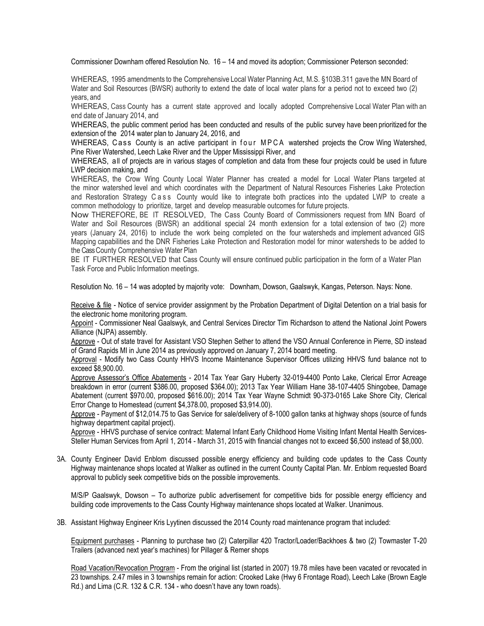Commissioner Downham offered Resolution No. 16 – 14 and moved its adoption; Commissioner Peterson seconded:

WHEREAS, 1995 amendments to the Comprehensive Local Water Planning Act, M.S. §103B.311 gave the MN Board of Water and Soil Resources (BWSR) authority to extend the date of local water plans for a period not to exceed two (2) years, and

WHEREAS, Cass County has a current state approved and locally adopted Comprehensive Local Water Plan with an end date of January 2014, and

WHEREAS, the public comment period has been conducted and results of the public survey have been prioritized for the extension of the 2014 water plan to January 24, 2016, and

WHEREAS, Cass County is an active participant in four MPCA watershed projects the Crow Wing Watershed, Pine River Watershed, Leech Lake River and the Upper Mississippi River, and

WHEREAS, all of projects are in various stages of completion and data from these four projects could be used in future LWP decision making, and

WHEREAS, the Crow Wing County Local Water Planner has created a model for Local Water Plans targeted at the minor watershed level and which coordinates with the Department of Natural Resources Fisheries Lake Protection and Restoration Strategy C a s s County would like to integrate both practices into the updated LWP to create a common methodology to prioritize, target and develop measurable outcomes for future projects.

Now THEREFORE, BE IT RESOLVED, The Cass County Board of Commissioners request from MN Board of Water and Soil Resources (BWSR) an additional special 24 month extension for a total extension of two (2) more years (January 24, 2016) to include the work being completed on the four watersheds and implement advanced GIS Mapping capabilities and the DNR Fisheries Lake Protection and Restoration model for minor watersheds to be added to the Cass County Comprehensive Water Plan

BE IT FURTHER RESOLVED that Cass County will ensure continued public participation in the form of a Water Plan Task Force and Public Information meetings.

Resolution No. 16 – 14 was adopted by majority vote: Downham, Dowson, Gaalswyk, Kangas, Peterson. Nays: None.

Receive & file - Notice of service provider assignment by the Probation Department of Digital Detention on a trial basis for the electronic home monitoring program.

Appoint - Commissioner Neal Gaalswyk, and Central Services Director Tim Richardson to attend the National Joint Powers Alliance (NJPA) assembly.

Approve - Out of state travel for Assistant VSO Stephen Sether to attend the VSO Annual Conference in Pierre, SD instead of Grand Rapids MI in June 2014 as previously approved on January 7, 2014 board meeting.

 Approval - Modify two Cass County HHVS Income Maintenance Supervisor Offices utilizing HHVS fund balance not to exceed \$8,900.00.

Approve Assessor's Office Abatements - 2014 Tax Year Gary Huberty 32-019-4400 Ponto Lake, Clerical Error Acreage breakdown in error (current \$386.00, proposed \$364.00); 2013 Tax Year William Hane 38-107-4405 Shingobee, Damage Abatement (current \$970.00, proposed \$616.00); 2014 Tax Year Wayne Schmidt 90-373-0165 Lake Shore City, Clerical Error Change to Homestead (current \$4,378.00, proposed \$3,914.00).

Approve - Payment of \$12,014.75 to Gas Service for sale/delivery of 8-1000 gallon tanks at highway shops (source of funds highway department capital project).

Approve - HHVS purchase of service contract: Maternal Infant Early Childhood Home Visiting Infant Mental Health Services-Steller Human Services from April 1, 2014 - March 31, 2015 with financial changes not to exceed \$6,500 instead of \$8,000.

3A. County Engineer David Enblom discussed possible energy efficiency and building code updates to the Cass County Highway maintenance shops located at Walker as outlined in the current County Capital Plan. Mr. Enblom requested Board approval to publicly seek competitive bids on the possible improvements.

M/S/P Gaalswyk, Dowson – To authorize public advertisement for competitive bids for possible energy efficiency and building code improvements to the Cass County Highway maintenance shops located at Walker. Unanimous.

3B. Assistant Highway Engineer Kris Lyytinen discussed the 2014 County road maintenance program that included:

Equipment purchases - Planning to purchase two (2) Caterpillar 420 Tractor/Loader/Backhoes & two (2) Towmaster T-20 Trailers (advanced next year's machines) for Pillager & Remer shops

Road Vacation/Revocation Program - From the original list (started in 2007) 19.78 miles have been vacated or revocated in 23 townships. 2.47 miles in 3 townships remain for action: Crooked Lake (Hwy 6 Frontage Road), Leech Lake (Brown Eagle Rd.) and Lima (C.R. 132 & C.R. 134 - who doesn't have any town roads).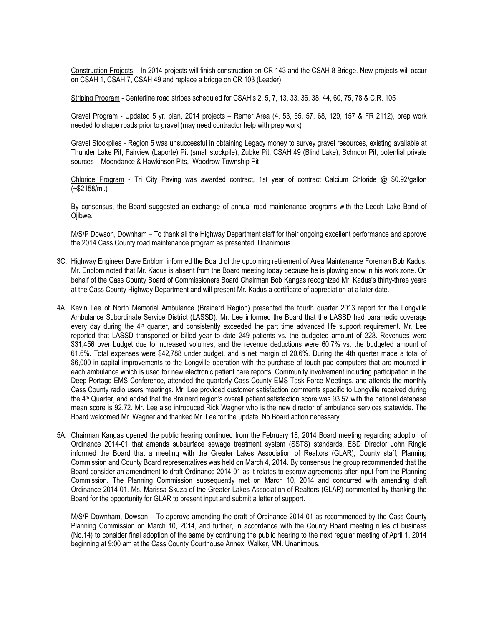Construction Projects – In 2014 projects will finish construction on CR 143 and the CSAH 8 Bridge. New projects will occur on CSAH 1, CSAH 7, CSAH 49 and replace a bridge on CR 103 (Leader).

Striping Program - Centerline road stripes scheduled for CSAH's 2, 5, 7, 13, 33, 36, 38, 44, 60, 75, 78 & C.R. 105

Gravel Program - Updated 5 yr. plan, 2014 projects – Remer Area (4, 53, 55, 57, 68, 129, 157 & FR 2112), prep work needed to shape roads prior to gravel (may need contractor help with prep work)

Gravel Stockpiles - Region 5 was unsuccessful in obtaining Legacy money to survey gravel resources, existing available at Thunder Lake Pit, Fairview (Laporte) Pit (small stockpile), Zubke Pit, CSAH 49 (Blind Lake), Schnoor Pit, potential private sources – Moondance & Hawkinson Pits, Woodrow Township Pit

Chloride Program - Tri City Paving was awarded contract, 1st year of contract Calcium Chloride @ \$0.92/gallon (~\$2158/mi.)

By consensus, the Board suggested an exchange of annual road maintenance programs with the Leech Lake Band of Ojibwe.

M/S/P Dowson, Downham – To thank all the Highway Department staff for their ongoing excellent performance and approve the 2014 Cass County road maintenance program as presented. Unanimous.

- 3C. Highway Engineer Dave Enblom informed the Board of the upcoming retirement of Area Maintenance Foreman Bob Kadus. Mr. Enblom noted that Mr. Kadus is absent from the Board meeting today because he is plowing snow in his work zone. On behalf of the Cass County Board of Commissioners Board Chairman Bob Kangas recognized Mr. Kadus's thirty-three years at the Cass County Highway Department and will present Mr. Kadus a certificate of appreciation at a later date.
- 4A. Kevin Lee of North Memorial Ambulance (Brainerd Region) presented the fourth quarter 2013 report for the Longville Ambulance Subordinate Service District (LASSD). Mr. Lee informed the Board that the LASSD had paramedic coverage every day during the 4<sup>th</sup> quarter, and consistently exceeded the part time advanced life support requirement. Mr. Lee reported that LASSD transported or billed year to date 249 patients vs. the budgeted amount of 228. Revenues were \$31,456 over budget due to increased volumes, and the revenue deductions were 60.7% vs. the budgeted amount of 61.6%. Total expenses were \$42,788 under budget, and a net margin of 20.6%. During the 4th quarter made a total of \$6,000 in capital improvements to the Longville operation with the purchase of touch pad computers that are mounted in each ambulance which is used for new electronic patient care reports. Community involvement including participation in the Deep Portage EMS Conference, attended the quarterly Cass County EMS Task Force Meetings, and attends the monthly Cass County radio users meetings. Mr. Lee provided customer satisfaction comments specific to Longville received during the 4 th Quarter, and added that the Brainerd region's overall patient satisfaction score was 93.57 with the national database mean score is 92.72. Mr. Lee also introduced Rick Wagner who is the new director of ambulance services statewide. The Board welcomed Mr. Wagner and thanked Mr. Lee for the update. No Board action necessary.
- 5A. Chairman Kangas opened the public hearing continued from the February 18, 2014 Board meeting regarding adoption of Ordinance 2014-01 that amends subsurface sewage treatment system (SSTS) standards. ESD Director John Ringle informed the Board that a meeting with the Greater Lakes Association of Realtors (GLAR), County staff, Planning Commission and County Board representatives was held on March 4, 2014. By consensus the group recommended that the Board consider an amendment to draft Ordinance 2014-01 as it relates to escrow agreements after input from the Planning Commission. The Planning Commission subsequently met on March 10, 2014 and concurred with amending draft Ordinance 2014-01. Ms. Marissa Skuza of the Greater Lakes Association of Realtors (GLAR) commented by thanking the Board for the opportunity for GLAR to present input and submit a letter of support.

M/S/P Downham, Dowson – To approve amending the draft of Ordinance 2014-01 as recommended by the Cass County Planning Commission on March 10, 2014, and further, in accordance with the County Board meeting rules of business (No.14) to consider final adoption of the same by continuing the public hearing to the next regular meeting of April 1, 2014 beginning at 9:00 am at the Cass County Courthouse Annex, Walker, MN. Unanimous.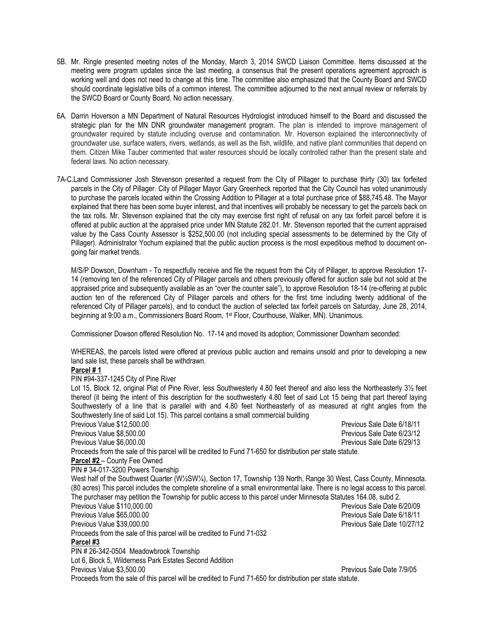- 5B. Mr. Ringle presented meeting notes of the Monday, March 3, 2014 SWCD Liaison Committee. Items discussed at the meeting were program updates since the last meeting, a consensus that the present operations agreement approach is working well and does not need to change at this time. The committee also emphasized that the County Board and SWCD should coordinate legislative bills of a common interest. The committee adjourned to the next annual review or referrals by the SWCD Board or County Board. No action necessary.
- 6A. Darrin Hoverson a MN Department of Natural Resources Hydrologist introduced himself to the Board and discussed the strategic plan for the MN DNR groundwater management program. The plan is intended to improve management of groundwater required by statute including overuse and contamination. Mr. Hoverson explained the interconnectivity of groundwater use, surface waters, rivers, wetlands, as well as the fish, wildlife, and native plant communities that depend on them. Citizen Mike Tauber commented that water resources should be locally controlled rather than the present state and federal laws. No action necessary.
- 7A-C.Land Commissioner Josh Stevenson presented a request from the City of Pillager to purchase thirty (30) tax forfeited parcels in the City of Pillager. City of Pillager Mayor Gary Greenheck reported that the City Council has voted unanimously to purchase the parcels located within the Crossing Addition to Pillager at a total purchase price of \$88,745.48. The Mayor explained that there has been some buyer interest, and that incentives will probably be necessary to get the parcels back on the tax rolls. Mr. Stevenson explained that the city may exercise first right of refusal on any tax forfeit parcel before it is offered at public auction at the appraised price under MN Statute 282.01. Mr. Stevenson reported that the current appraised value by the Cass County Assessor is \$252,500.00 (not including special assessments to be determined by the City of Pillager). Administrator Yochum explained that the public auction process is the most expeditious method to document ongoing fair market trends.

M/S/P Dowson, Downham - To respectfully receive and file the request from the City of Pillager, to approve Resolution 17- 14 (removing ten of the referenced City of Pillager parcels and others previously offered for auction sale but not sold at the appraised price and subsequently available as an "over the counter sale"), to approve Resolution 18-14 (re-offering at public auction ten of the referenced City of Pillager parcels and others for the first time including twenty additional of the referenced City of Pillager parcels), and to conduct the auction of selected tax forfeit parcels on Saturday, June 28, 2014, beginning at 9:00 a.m., Commissioners Board Room, 1st Floor, Courthouse, Walker, MN). Unanimous.

Commissioner Dowson offered Resolution No. 17-14 and moved its adoption; Commissioner Downham seconded:

WHEREAS, the parcels listed were offered at previous public auction and remains unsold and prior to developing a new land sale list, these parcels shall be withdrawn.

#### **Parcel # 1**

PIN #94-337-1245 City of Pine River

Lot 15, Block 12, original Plat of Pine River, less Southwesterly 4.80 feet thereof and also less the Northeasterly 31/<sub>2</sub> feet thereof (it being the intent of this description for the southwesterly 4.80 feet of said Lot 15 being that part thereof laying Southwesterly of a line that is parallel with and 4.80 feet Northeasterly of as measured at right angles from the Southwesterly line of said Lot 15). This parcel contains a small commercial building

Previous Value \$12,500.00 Previous Sale Date 6/18/11 Previous Value \$8,500.00 Previous Sale Date 6/23/12 Previous Value \$6,000.00 Previous Sale Date 6/29/13 Proceeds from the sale of this parcel will be credited to Fund 71-650 for distribution per state statute. **Parcel #2** – County Fee Owned PIN # 34-017-3200 Powers Township West half of the Southwest Quarter (W1/2SW1/4), Section 17, Township 139 North, Range 30 West, Cass County, Minnesota. (80 acres) This parcel includes the complete shoreline of a small environmental lake. There is no legal access to this parcel. The purchaser may petition the Township for public access to this parcel under Minnesota Statutes 164.08, subd 2. Previous Value \$110,000.00 Previous Sale Date 6/20/09 Previous Value \$65,000.00 Previous Sale Date 6/18/11 Previous Value \$39,000.00 Previous Sale Date 10/27/12 Proceeds from the sale of this parcel will be credited to Fund 71-032 **Parcel #3** PIN # 26-342-0504 Meadowbrook Township Lot 6, Block 5, Wilderness Park Estates Second Addition Previous Value \$3,500.00 Previous Value \$3,500.00

Proceeds from the sale of this parcel will be credited to Fund 71-650 for distribution per state statute.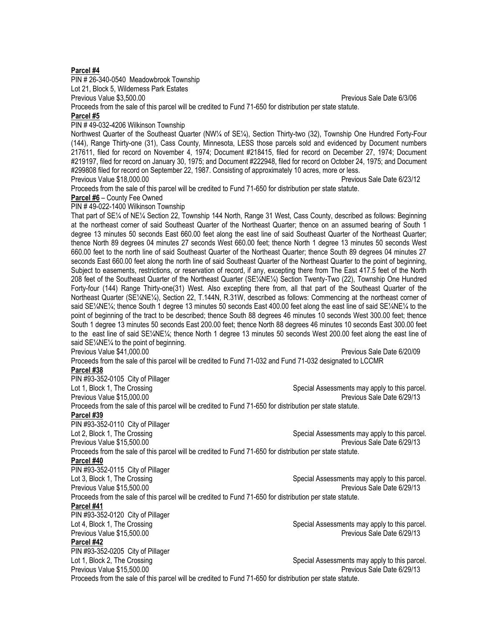#### **Parcel #4**

PIN # 26-340-0540 Meadowbrook Township

Lot 21, Block 5, Wilderness Park Estates

Previous Value \$3,500.00 Previous Sale Date 6/3/06

Proceeds from the sale of this parcel will be credited to Fund 71-650 for distribution per state statute.

### **Parcel #5**

PIN # 49-032-4206 Wilkinson Township

Northwest Quarter of the Southeast Quarter (NW¼ of SE¼), Section Thirty-two (32), Township One Hundred Forty-Four (144), Range Thirty-one (31), Cass County, Minnesota, LESS those parcels sold and evidenced by Document numbers 217611, filed for record on November 4, 1974; Document #218415, filed for record on December 27, 1974; Document #219197, filed for record on January 30, 1975; and Document #222948, filed for record on October 24, 1975; and Document #299808 filed for record on September 22, 1987. Consisting of approximately 10 acres, more or less. Previous Value \$18,000.00 Previous Sale Date 6/23/12

Proceeds from the sale of this parcel will be credited to Fund 71-650 for distribution per state statute.

**Parcel #6** – County Fee Owned

PIN # 49-022-1400 Wilkinson Township

That part of SE¼ of NE¼ Section 22, Township 144 North, Range 31 West, Cass County, described as follows: Beginning at the northeast corner of said Southeast Quarter of the Northeast Quarter; thence on an assumed bearing of South 1 degree 13 minutes 50 seconds East 660.00 feet along the east line of said Southeast Quarter of the Northeast Quarter; thence North 89 degrees 04 minutes 27 seconds West 660.00 feet; thence North 1 degree 13 minutes 50 seconds West 660.00 feet to the north line of said Southeast Quarter of the Northeast Quarter; thence South 89 degrees 04 minutes 27 seconds East 660.00 feet along the north line of said Southeast Quarter of the Northeast Quarter to the point of beginning, Subject to easements, restrictions, or reservation of record, if any, excepting there from The East 417.5 feet of the North 208 feet of the Southeast Quarter of the Northeast Quarter (SE¼NE¼) Section Twenty-Two (22), Township One Hundred Forty-four (144) Range Thirty-one(31) West. Also excepting there from, all that part of the Southeast Quarter of the Northeast Quarter (SE¼NE¼), Section 22, T.144N, R.31W, described as follows: Commencing at the northeast corner of said SE¼NE¼; thence South 1 degree 13 minutes 50 seconds East 400.00 feet along the east line of said SE¼NE¼ to the point of beginning of the tract to be described; thence South 88 degrees 46 minutes 10 seconds West 300.00 feet; thence South 1 degree 13 minutes 50 seconds East 200.00 feet; thence North 88 degrees 46 minutes 10 seconds East 300.00 feet to the east line of said SE¼NE¼; thence North 1 degree 13 minutes 50 seconds West 200.00 feet along the east line of said SE¼NE¼ to the point of beginning.

Previous Value \$41,000.00 Previous Value 6/20/09

Proceeds from the sale of this parcel will be credited to Fund 71-032 and Fund 71-032 designated to LCCMR

# **Parcel #38**

PIN #93-352-0105 City of Pillager Lot 1, Block 1, The Crossing Special Assessments may apply to this parcel. Previous Value \$15,000.00 Previous Sale Date 6/29/13 Proceeds from the sale of this parcel will be credited to Fund 71-650 for distribution per state statute. **Parcel #39** PIN #93-352-0110 City of Pillager Lot 2, Block 1, The Crossing Special Assessments may apply to this parcel. Previous Value \$15,500.00 Previous Sale Date 6/29/13 Proceeds from the sale of this parcel will be credited to Fund 71-650 for distribution per state statute.

## **Parcel #40**

PIN #93-352-0115 City of Pillager

Lot 3, Block 1, The Crossing Special Assessments may apply to this parcel. Previous Value \$15,500.00 Previous Sale Date 6/29/13

Proceeds from the sale of this parcel will be credited to Fund 71-650 for distribution per state statute.

# **Parcel #41**

PIN #93-352-0120 City of Pillager Previous Value \$15,500.00 **Parcel #42** PIN #93-352-0205 City of Pillager<br>Lot 1, Block 2, The Crossing

Previous Value \$15,500.00

Lot 4, Block 1, The Crossing The Crossing Special Assessments may apply to this parcel.<br>Previous Value \$15,500.00

Special Assessments may apply to this parcel.<br>Previous Sale Date 6/29/13

Proceeds from the sale of this parcel will be credited to Fund 71-650 for distribution per state statute.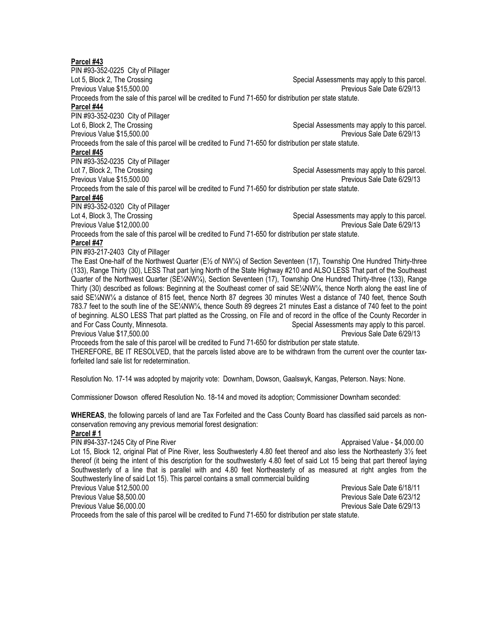#### **Parcel #43**

PIN #93-352-0225 City of Pillager Lot 5, Block 2, The Crossing Special Assessments may apply to this parcel. Previous Value \$15,500.00 Previous Sale Date 6/29/13 Proceeds from the sale of this parcel will be credited to Fund 71-650 for distribution per state statute. **Parcel #44** PIN #93-352-0230 City of Pillager Lot 6, Block 2, The Crossing Special Assessments may apply to this parcel. Previous Value \$15,500.00 Previous Sale Date 6/29/13 Proceeds from the sale of this parcel will be credited to Fund 71-650 for distribution per state statute. **Parcel #45** PIN #93-352-0235 City of Pillager Lot 7, Block 2, The Crossing Special Assessments may apply to this parcel. Previous Value \$15,500.00 Previous Sale Date 6/29/13 Proceeds from the sale of this parcel will be credited to Fund 71-650 for distribution per state statute. **Parcel #46** PIN #93-352-0320 City of Pillager Lot 4, Block 3, The Crossing Special Assessments may apply to this parcel. Previous Value \$12,000.00 Previous Sale Date 6/29/13 Proceeds from the sale of this parcel will be credited to Fund 71-650 for distribution per state statute. **Parcel #47** PIN #93-217-2403 City of Pillager The East One-half of the Northwest Quarter (E½ of NW¼) of Section Seventeen (17), Township One Hundred Thirty-three (133), Range Thirty (30), LESS That part lying North of the State Highway #210 and ALSO LESS That part of the Southeast Quarter of the Northwest Quarter (SE¼NW¼), Section Seventeen (17), Township One Hundred Thirty-three (133), Range Thirty (30) described as follows: Beginning at the Southeast corner of said SE¼NW¼, thence North along the east line of said SE¼NW¼ a distance of 815 feet, thence North 87 degrees 30 minutes West a distance of 740 feet, thence South 783.7 feet to the south line of the SE¼NW¼, thence South 89 degrees 21 minutes East a distance of 740 feet to the point of beginning. ALSO LESS That part platted as the Crossing, on File and of record in the office of the County Recorder in and For Cass County, Minnesota. Special Assessments may apply to this parcel. Previous Value \$17,500.00 Previous Sale Date 6/29/13 Proceeds from the sale of this parcel will be credited to Fund 71-650 for distribution per state statute. THEREFORE, BE IT RESOLVED, that the parcels listed above are to be withdrawn from the current over the counter taxforfeited land sale list for redetermination. Resolution No. 17-14 was adopted by majority vote: Downham, Dowson, Gaalswyk, Kangas, Peterson. Nays: None. Commissioner Dowson offered Resolution No. 18-14 and moved its adoption; Commissioner Downham seconded:

**WHEREAS**, the following parcels of land are Tax Forfeited and the Cass County Board has classified said parcels as nonconservation removing any previous memorial forest designation:

#### **Parcel # 1**

PIN #94-337-1245 City of Pine River Approximate and the Control of Approximated Value - \$4,000.00 Lot 15, Block 12, original Plat of Pine River, less Southwesterly 4.80 feet thereof and also less the Northeasterly 3½ feet thereof (it being the intent of this description for the southwesterly 4.80 feet of said Lot 15 being that part thereof laying Southwesterly of a line that is parallel with and 4.80 feet Northeasterly of as measured at right angles from the Southwesterly line of said Lot 15). This parcel contains a small commercial building

Previous Value \$12,500.00 Previous Sale Date 6/18/11 Previous Value \$8,500.00 Previous Sale Date 6/23/12 Previous Value \$6,000.00 Previous Sale Date 6/29/13 Proceeds from the sale of this parcel will be credited to Fund 71-650 for distribution per state statute.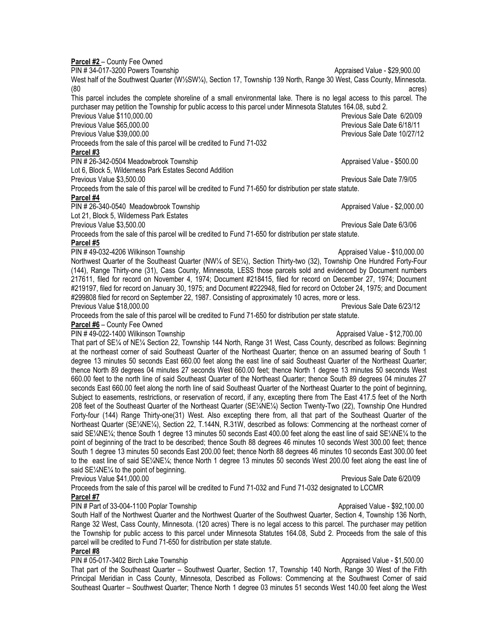**Parcel #2** – County Fee Owned PIN # 34-017-3200 Powers Township Approximated Value - \$29,900.00 West half of the Southwest Quarter (W½SW¼), Section 17, Township 139 North, Range 30 West, Cass County, Minnesota.<br>(80 (80 acres) This parcel includes the complete shoreline of a small environmental lake. There is no legal access to this parcel. The purchaser may petition the Township for public access to this parcel under Minnesota Statutes 164.08, subd 2. Previous Value \$110,000.00 Previous Value 6/20/09 Previous Value \$65,000.00 Previous Value \$65,000.00 Previous Value \$39,000.00 Previous Sale Date 10/27/12 Proceeds from the sale of this parcel will be credited to Fund 71-032 **Parcel #3** PIN # 26-342-0504 Meadowbrook Township Approximated Value - \$500.00 Lot 6, Block 5, Wilderness Park Estates Second Addition Previous Value \$3,500.00 Previous Value \$3,500.00 Proceeds from the sale of this parcel will be credited to Fund 71-650 for distribution per state statute. **Parcel #4** PIN # 26-340-0540 Meadowbrook Township Approximated Value - \$2,000.00 Lot 21, Block 5, Wilderness Park Estates Previous Value \$3,500.00 Previous Value 6/3/06 Proceeds from the sale of this parcel will be credited to Fund 71-650 for distribution per state statute. **Parcel #5** PIN # 49-032-4206 Wilkinson Township Approximate and Approximate Approximate Approximate Approximate - \$10,000.00 Northwest Quarter of the Southeast Quarter (NW¼ of SE¼), Section Thirty-two (32), Township One Hundred Forty-Four (144), Range Thirty-one (31), Cass County, Minnesota, LESS those parcels sold and evidenced by Document numbers 217611, filed for record on November 4, 1974; Document #218415, filed for record on December 27, 1974; Document #219197, filed for record on January 30, 1975; and Document #222948, filed for record on October 24, 1975; and Document #299808 filed for record on September 22, 1987. Consisting of approximately 10 acres, more or less. Previous Value \$18,000.00 Previous Sale Date 6/23/12 Proceeds from the sale of this parcel will be credited to Fund 71-650 for distribution per state statute. **Parcel #6** – County Fee Owned PIN # 49-022-1400 Wilkinson Township Approximated Value - \$12,700.00 That part of SE¼ of NE¼ Section 22, Township 144 North, Range 31 West, Cass County, described as follows: Beginning at the northeast corner of said Southeast Quarter of the Northeast Quarter; thence on an assumed bearing of South 1 degree 13 minutes 50 seconds East 660.00 feet along the east line of said Southeast Quarter of the Northeast Quarter; thence North 89 degrees 04 minutes 27 seconds West 660.00 feet; thence North 1 degree 13 minutes 50 seconds West 660.00 feet to the north line of said Southeast Quarter of the Northeast Quarter; thence South 89 degrees 04 minutes 27 seconds East 660.00 feet along the north line of said Southeast Quarter of the Northeast Quarter to the point of beginning, Subject to easements, restrictions, or reservation of record, if any, excepting there from The East 417.5 feet of the North 208 feet of the Southeast Quarter of the Northeast Quarter (SE¼NE¼) Section Twenty-Two (22), Township One Hundred Forty-four (144) Range Thirty-one(31) West. Also excepting there from, all that part of the Southeast Quarter of the Northeast Quarter (SE¼NE¼), Section 22, T.144N, R.31W, described as follows: Commencing at the northeast corner of said SE¼NE¼; thence South 1 degree 13 minutes 50 seconds East 400.00 feet along the east line of said SE¼NE¼ to the point of beginning of the tract to be described; thence South 88 degrees 46 minutes 10 seconds West 300.00 feet; thence South 1 degree 13 minutes 50 seconds East 200.00 feet; thence North 88 degrees 46 minutes 10 seconds East 300.00 feet to the east line of said SE¼NE¼; thence North 1 degree 13 minutes 50 seconds West 200.00 feet along the east line of said SE¼NE¼ to the point of beginning. Previous Value \$41,000.00 Previous Sale Date 6/20/09 Proceeds from the sale of this parcel will be credited to Fund 71-032 and Fund 71-032 designated to LCCMR **Parcel #7** PIN # Part of 33-004-1100 Poplar Township Approximate and Approximate Appraised Value - \$92,100.00

South Half of the Northwest Quarter and the Northwest Quarter of the Southwest Quarter, Section 4, Township 136 North, Range 32 West, Cass County, Minnesota. (120 acres) There is no legal access to this parcel. The purchaser may petition the Township for public access to this parcel under Minnesota Statutes 164.08, Subd 2. Proceeds from the sale of this parcel will be credited to Fund 71-650 for distribution per state statute.

# **Parcel #8**

PIN # 05-017-3402 Birch Lake Township Appraised Value - \$1,500.00

That part of the Southeast Quarter – Southwest Quarter, Section 17, Township 140 North, Range 30 West of the Fifth Principal Meridian in Cass County, Minnesota, Described as Follows: Commencing at the Southwest Corner of said Southeast Quarter – Southwest Quarter; Thence North 1 degree 03 minutes 51 seconds West 140.00 feet along the West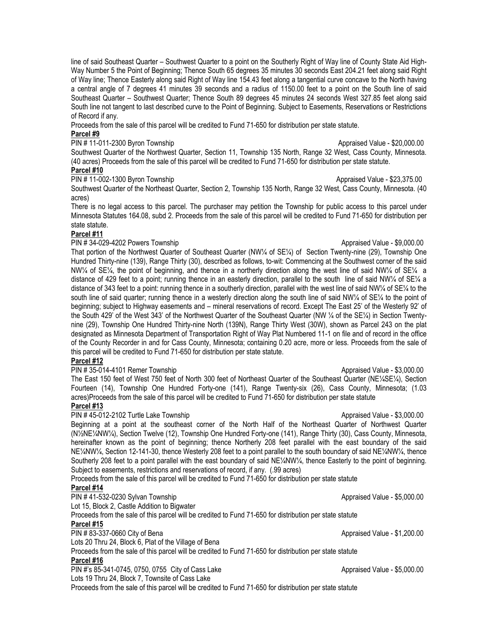line of said Southeast Quarter – Southwest Quarter to a point on the Southerly Right of Way line of County State Aid High-Way Number 5 the Point of Beginning; Thence South 65 degrees 35 minutes 30 seconds East 204.21 feet along said Right of Way line; Thence Easterly along said Right of Way line 154.43 feet along a tangential curve concave to the North having a central angle of 7 degrees 41 minutes 39 seconds and a radius of 1150.00 feet to a point on the South line of said Southeast Quarter – Southwest Quarter; Thence South 89 degrees 45 minutes 24 seconds West 327.85 feet along said South line not tangent to last described curve to the Point of Beginning. Subject to Easements, Reservations or Restrictions of Record if any.

Proceeds from the sale of this parcel will be credited to Fund 71-650 for distribution per state statute.

#### **Parcel #9**

PIN # 11-011-2300 Byron Township Approximated Value - \$20,000.00

Southwest Quarter of the Northwest Quarter, Section 11, Township 135 North, Range 32 West, Cass County, Minnesota. (40 acres) Proceeds from the sale of this parcel will be credited to Fund 71-650 for distribution per state statute. **Parcel #10**

PIN # 11-002-1300 Byron Township Approximated Value - \$23,375.00

Southwest Quarter of the Northeast Quarter, Section 2, Township 135 North, Range 32 West, Cass County, Minnesota. (40 acres)

There is no legal access to this parcel. The purchaser may petition the Township for public access to this parcel under Minnesota Statutes 164.08, subd 2. Proceeds from the sale of this parcel will be credited to Fund 71-650 for distribution per state statute.

### **Parcel #11**

### PIN # 34-029-4202 Powers Township Appraised Value - \$9,000.00

That portion of the Northwest Quarter of Southeast Quarter (NW¼ of SE¼) of Section Twenty-nine (29), Township One Hundred Thirty-nine (139), Range Thirty (30), described as follows, to-wit: Commencing at the Southwest corner of the said NW¼ of SE¼, the point of beginning, and thence in a northerly direction along the west line of said NW¼ of SE¼ a distance of 429 feet to a point; running thence in an easterly direction, parallel to the south line of said NW¼ of SE¼ a distance of 343 feet to a point: running thence in a southerly direction, parallel with the west line of said NW¼ of SE¼ to the south line of said quarter; running thence in a westerly direction along the south line of said NW¼ of SE¼ to the point of beginning; subject to Highway easements and – mineral reservations of record. Except The East 25' of the Westerly 92' of the South 429' of the West 343' of the Northwest Quarter of the Southeast Quarter (NW ¼ of the SE¼) in Section Twentynine (29), Township One Hundred Thirty-nine North (139N), Range Thirty West (30W), shown as Parcel 243 on the plat designated as Minnesota Department of Transportation Right of Way Plat Numbered 11-1 on file and of record in the office of the County Recorder in and for Cass County, Minnesota; containing 0.20 acre, more or less. Proceeds from the sale of this parcel will be credited to Fund 71-650 for distribution per state statute.

# **Parcel #12**

PIN # 35-014-4101 Remer Township Approximate and the state of the Appraised Value - \$3,000.00

The East 150 feet of West 750 feet of North 300 feet of Northeast Quarter of the Southeast Quarter (NE¼SE¼), Section Fourteen (14), Township One Hundred Forty-one (141), Range Twenty-six (26), Cass County, Minnesota; (1.03 acres)Proceeds from the sale of this parcel will be credited to Fund 71-650 for distribution per state statute

# **Parcel #13**

#### PIN # 45-012-2102 Turtle Lake Township Approximated Value - \$3,000.00

Beginning at a point at the southeast corner of the North Half of the Northeast Quarter of Northwest Quarter (N½NE¼NW¼), Section Twelve (12), Township One Hundred Forty-one (141), Range Thirty (30), Cass County, Minnesota, hereinafter known as the point of beginning; thence Northerly 208 feet parallel with the east boundary of the said NE¼NW¼, Section 12-141-30, thence Westerly 208 feet to a point parallel to the south boundary of said NE¼NW¼, thence Southerly 208 feet to a point parallel with the east boundary of said  $NE/4NW/4$ , thence Easterly to the point of beginning. Subject to easements, restrictions and reservations of record, if any. (.99 acres)

Proceeds from the sale of this parcel will be credited to Fund 71-650 for distribution per state statute

### **Parcel #14**

PIN # 41-532-0230 Sylvan Township Approximate and the Appraised Value - \$5,000.00 Lot 15, Block 2, Castle Addition to Bigwater Proceeds from the sale of this parcel will be credited to Fund 71-650 for distribution per state statute **Parcel #15** PIN # 83-337-0660 City of Bena Appraised Value - \$1,200.00 Lots 20 Thru 24, Block 6, Plat of the Village of Bena Proceeds from the sale of this parcel will be credited to Fund 71-650 for distribution per state statute **Parcel #16** PIN #'s 85-341-0745, 0750, 0755 City of Cass Lake Approximated Value - \$5,000.00 Lots 19 Thru 24, Block 7, Townsite of Cass Lake

Proceeds from the sale of this parcel will be credited to Fund 71-650 for distribution per state statute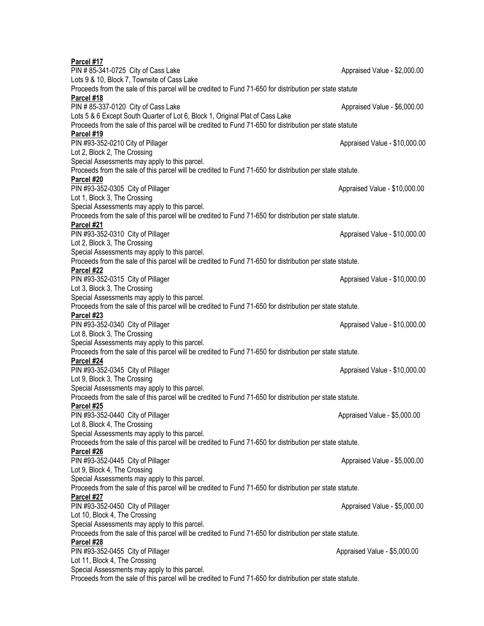| Parcel #17                                                                                                |                               |  |  |  |
|-----------------------------------------------------------------------------------------------------------|-------------------------------|--|--|--|
| PIN # 85-341-0725 City of Cass Lake                                                                       | Appraised Value - \$2,000.00  |  |  |  |
| Lots 9 & 10, Block 7, Townsite of Cass Lake                                                               |                               |  |  |  |
| Proceeds from the sale of this parcel will be credited to Fund 71-650 for distribution per state statute  |                               |  |  |  |
| Parcel #18                                                                                                |                               |  |  |  |
| PIN # 85-337-0120 City of Cass Lake                                                                       | Appraised Value - \$6,000.00  |  |  |  |
| Lots 5 & 6 Except South Quarter of Lot 6, Block 1, Original Plat of Cass Lake                             |                               |  |  |  |
| Proceeds from the sale of this parcel will be credited to Fund 71-650 for distribution per state statute  |                               |  |  |  |
| Parcel #19                                                                                                |                               |  |  |  |
| PIN #93-352-0210 City of Pillager                                                                         | Appraised Value - \$10,000.00 |  |  |  |
| Lot 2, Block 2, The Crossing                                                                              |                               |  |  |  |
| Special Assessments may apply to this parcel.                                                             |                               |  |  |  |
| Proceeds from the sale of this parcel will be credited to Fund 71-650 for distribution per state statute. |                               |  |  |  |
| Parcel #20                                                                                                |                               |  |  |  |
| PIN #93-352-0305 City of Pillager                                                                         | Appraised Value - \$10,000.00 |  |  |  |
| Lot 1, Block 3, The Crossing                                                                              |                               |  |  |  |
| Special Assessments may apply to this parcel.                                                             |                               |  |  |  |
| Proceeds from the sale of this parcel will be credited to Fund 71-650 for distribution per state statute. |                               |  |  |  |
| Parcel #21                                                                                                |                               |  |  |  |
| PIN #93-352-0310 City of Pillager                                                                         | Appraised Value - \$10,000.00 |  |  |  |
| Lot 2, Block 3, The Crossing                                                                              |                               |  |  |  |
| Special Assessments may apply to this parcel.                                                             |                               |  |  |  |
| Proceeds from the sale of this parcel will be credited to Fund 71-650 for distribution per state statute. |                               |  |  |  |
| Parcel #22                                                                                                |                               |  |  |  |
| PIN #93-352-0315 City of Pillager                                                                         | Appraised Value - \$10,000.00 |  |  |  |
| Lot 3, Block 3, The Crossing                                                                              |                               |  |  |  |
| Special Assessments may apply to this parcel.                                                             |                               |  |  |  |
| Proceeds from the sale of this parcel will be credited to Fund 71-650 for distribution per state statute. |                               |  |  |  |
| Parcel #23                                                                                                |                               |  |  |  |
| PIN #93-352-0340 City of Pillager                                                                         | Appraised Value - \$10,000.00 |  |  |  |
| Lot 8, Block 3, The Crossing                                                                              |                               |  |  |  |
| Special Assessments may apply to this parcel.                                                             |                               |  |  |  |
| Proceeds from the sale of this parcel will be credited to Fund 71-650 for distribution per state statute. |                               |  |  |  |
| Parcel #24                                                                                                |                               |  |  |  |
| PIN #93-352-0345 City of Pillager                                                                         | Appraised Value - \$10,000.00 |  |  |  |
| Lot 9, Block 3, The Crossing                                                                              |                               |  |  |  |
| Special Assessments may apply to this parcel.                                                             |                               |  |  |  |
| Proceeds from the sale of this parcel will be credited to Fund 71-650 for distribution per state statute. |                               |  |  |  |
| Parcel #25                                                                                                |                               |  |  |  |
| PIN #93-352-0440 City of Pillager                                                                         | Appraised Value - \$5,000.00  |  |  |  |
| Lot 8, Block 4, The Crossing                                                                              |                               |  |  |  |
| Special Assessments may apply to this parcel.                                                             |                               |  |  |  |
| Proceeds from the sale of this parcel will be credited to Fund 71-650 for distribution per state statute. |                               |  |  |  |
| Parcel #26                                                                                                |                               |  |  |  |
| PIN #93-352-0445 City of Pillager                                                                         | Appraised Value - \$5,000.00  |  |  |  |
| Lot 9, Block 4, The Crossing                                                                              |                               |  |  |  |
| Special Assessments may apply to this parcel.                                                             |                               |  |  |  |
| Proceeds from the sale of this parcel will be credited to Fund 71-650 for distribution per state statute. |                               |  |  |  |
| Parcel #27                                                                                                |                               |  |  |  |
| PIN #93-352-0450 City of Pillager                                                                         | Appraised Value - \$5,000.00  |  |  |  |
| Lot 10, Block 4, The Crossing                                                                             |                               |  |  |  |
| Special Assessments may apply to this parcel.                                                             |                               |  |  |  |
| Proceeds from the sale of this parcel will be credited to Fund 71-650 for distribution per state statute. |                               |  |  |  |
| Parcel #28                                                                                                |                               |  |  |  |
| PIN #93-352-0455 City of Pillager                                                                         | Appraised Value - \$5,000.00  |  |  |  |
| Lot 11, Block 4, The Crossing                                                                             |                               |  |  |  |
| Special Assessments may apply to this parcel.                                                             |                               |  |  |  |
| Proceeds from the sale of this parcel will be credited to Fund 71-650 for distribution per state statute. |                               |  |  |  |
|                                                                                                           |                               |  |  |  |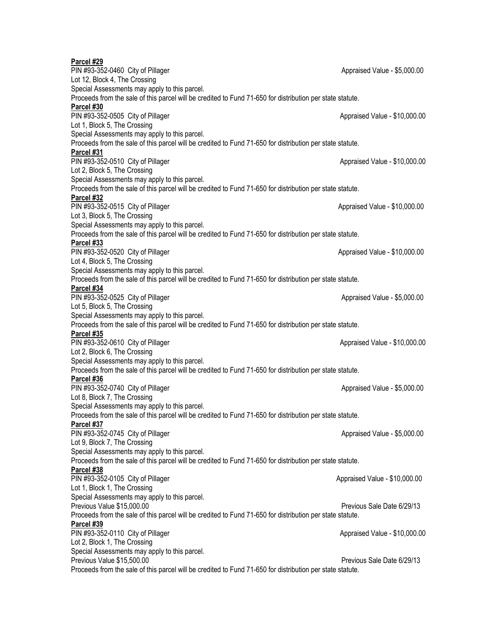| Parcel #29                                                                                                |                               |  |  |  |
|-----------------------------------------------------------------------------------------------------------|-------------------------------|--|--|--|
| PIN #93-352-0460 City of Pillager                                                                         | Appraised Value - \$5,000.00  |  |  |  |
| Lot 12, Block 4, The Crossing                                                                             |                               |  |  |  |
| Special Assessments may apply to this parcel.                                                             |                               |  |  |  |
| Proceeds from the sale of this parcel will be credited to Fund 71-650 for distribution per state statute. |                               |  |  |  |
| Parcel #30                                                                                                |                               |  |  |  |
| PIN #93-352-0505 City of Pillager                                                                         | Appraised Value - \$10,000.00 |  |  |  |
| Lot 1, Block 5, The Crossing                                                                              |                               |  |  |  |
| Special Assessments may apply to this parcel.                                                             |                               |  |  |  |
| Proceeds from the sale of this parcel will be credited to Fund 71-650 for distribution per state statute. |                               |  |  |  |
| Parcel #31                                                                                                |                               |  |  |  |
| PIN #93-352-0510 City of Pillager                                                                         | Appraised Value - \$10,000.00 |  |  |  |
| Lot 2, Block 5, The Crossing                                                                              |                               |  |  |  |
| Special Assessments may apply to this parcel.                                                             |                               |  |  |  |
| Proceeds from the sale of this parcel will be credited to Fund 71-650 for distribution per state statute. |                               |  |  |  |
| Parcel #32                                                                                                |                               |  |  |  |
| PIN #93-352-0515 City of Pillager                                                                         | Appraised Value - \$10,000.00 |  |  |  |
| Lot 3, Block 5, The Crossing                                                                              |                               |  |  |  |
| Special Assessments may apply to this parcel.                                                             |                               |  |  |  |
| Proceeds from the sale of this parcel will be credited to Fund 71-650 for distribution per state statute. |                               |  |  |  |
| Parcel #33                                                                                                |                               |  |  |  |
| PIN #93-352-0520 City of Pillager                                                                         | Appraised Value - \$10,000.00 |  |  |  |
| Lot 4, Block 5, The Crossing                                                                              |                               |  |  |  |
| Special Assessments may apply to this parcel.                                                             |                               |  |  |  |
| Proceeds from the sale of this parcel will be credited to Fund 71-650 for distribution per state statute. |                               |  |  |  |
| Parcel #34                                                                                                |                               |  |  |  |
| PIN #93-352-0525 City of Pillager                                                                         | Appraised Value - \$5,000.00  |  |  |  |
| Lot 5, Block 5, The Crossing                                                                              |                               |  |  |  |
| Special Assessments may apply to this parcel.                                                             |                               |  |  |  |
| Proceeds from the sale of this parcel will be credited to Fund 71-650 for distribution per state statute. |                               |  |  |  |
| Parcel #35                                                                                                |                               |  |  |  |
| PIN #93-352-0610 City of Pillager                                                                         | Appraised Value - \$10,000.00 |  |  |  |
| Lot 2, Block 6, The Crossing                                                                              |                               |  |  |  |
| Special Assessments may apply to this parcel.                                                             |                               |  |  |  |
| Proceeds from the sale of this parcel will be credited to Fund 71-650 for distribution per state statute. |                               |  |  |  |
| Parcel #36                                                                                                |                               |  |  |  |
| PIN #93-352-0740 City of Pillager                                                                         | Appraised Value - \$5,000.00  |  |  |  |
| Lot 8, Block 7, The Crossing                                                                              |                               |  |  |  |
| Special Assessments may apply to this parcel.                                                             |                               |  |  |  |
| Proceeds from the sale of this parcel will be credited to Fund 71-650 for distribution per state statute. |                               |  |  |  |
| Parcel #37                                                                                                |                               |  |  |  |
| PIN #93-352-0745 City of Pillager                                                                         | Appraised Value - \$5,000.00  |  |  |  |
| Lot 9, Block 7, The Crossing                                                                              |                               |  |  |  |
| Special Assessments may apply to this parcel.                                                             |                               |  |  |  |
| Proceeds from the sale of this parcel will be credited to Fund 71-650 for distribution per state statute. |                               |  |  |  |
| Parcel #38                                                                                                |                               |  |  |  |
| PIN #93-352-0105 City of Pillager                                                                         | Appraised Value - \$10,000.00 |  |  |  |
| Lot 1, Block 1, The Crossing                                                                              |                               |  |  |  |
| Special Assessments may apply to this parcel.                                                             |                               |  |  |  |
| Previous Value \$15,000.00                                                                                | Previous Sale Date 6/29/13    |  |  |  |
| Proceeds from the sale of this parcel will be credited to Fund 71-650 for distribution per state statute. |                               |  |  |  |
| Parcel #39                                                                                                |                               |  |  |  |
| PIN #93-352-0110 City of Pillager                                                                         | Appraised Value - \$10,000.00 |  |  |  |
| Lot 2, Block 1, The Crossing                                                                              |                               |  |  |  |
| Special Assessments may apply to this parcel.                                                             |                               |  |  |  |
| Previous Value \$15,500.00                                                                                | Previous Sale Date 6/29/13    |  |  |  |
| Proceeds from the sale of this parcel will be credited to Fund 71-650 for distribution per state statute. |                               |  |  |  |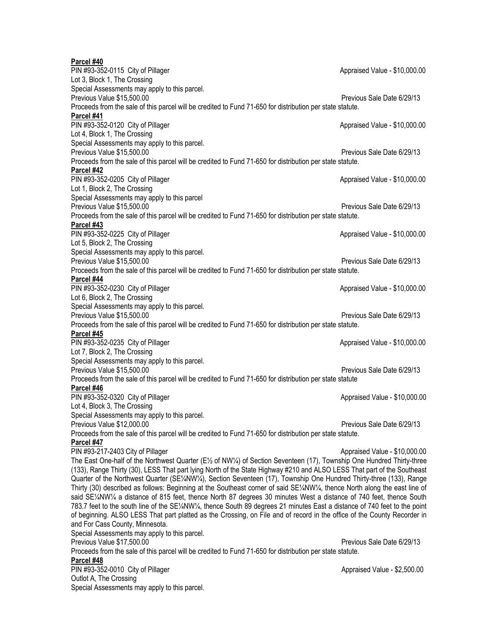**Parcel #40**

| PIN #93-352-0115 City of Pillager                                                                                           | Appraised Value - \$10,000.00 |  |  |  |
|-----------------------------------------------------------------------------------------------------------------------------|-------------------------------|--|--|--|
| Lot 3, Block 1, The Crossing                                                                                                |                               |  |  |  |
| Special Assessments may apply to this parcel.                                                                               |                               |  |  |  |
| Previous Value \$15,500.00                                                                                                  | Previous Sale Date 6/29/13    |  |  |  |
| Proceeds from the sale of this parcel will be credited to Fund 71-650 for distribution per state statute.                   |                               |  |  |  |
| Parcel #41                                                                                                                  |                               |  |  |  |
| PIN #93-352-0120 City of Pillager                                                                                           | Appraised Value - \$10,000.00 |  |  |  |
| Lot 4, Block 1, The Crossing                                                                                                |                               |  |  |  |
| Special Assessments may apply to this parcel.                                                                               |                               |  |  |  |
| Previous Value \$15,500.00                                                                                                  | Previous Sale Date 6/29/13    |  |  |  |
| Proceeds from the sale of this parcel will be credited to Fund 71-650 for distribution per state statute.                   |                               |  |  |  |
| Parcel #42                                                                                                                  |                               |  |  |  |
| PIN #93-352-0205 City of Pillager                                                                                           | Appraised Value - \$10,000.00 |  |  |  |
|                                                                                                                             |                               |  |  |  |
| Lot 1, Block 2, The Crossing                                                                                                |                               |  |  |  |
| Special Assessments may apply to this parcel                                                                                |                               |  |  |  |
| Previous Value \$15,500.00                                                                                                  | Previous Sale Date 6/29/13    |  |  |  |
| Proceeds from the sale of this parcel will be credited to Fund 71-650 for distribution per state statute.                   |                               |  |  |  |
| Parcel #43                                                                                                                  |                               |  |  |  |
| PIN #93-352-0225 City of Pillager                                                                                           | Appraised Value - \$10,000.00 |  |  |  |
| Lot 5, Block 2, The Crossing                                                                                                |                               |  |  |  |
| Special Assessments may apply to this parcel.                                                                               |                               |  |  |  |
| Previous Value \$15,500.00                                                                                                  | Previous Sale Date 6/29/13    |  |  |  |
| Proceeds from the sale of this parcel will be credited to Fund 71-650 for distribution per state statute.                   |                               |  |  |  |
| Parcel #44                                                                                                                  |                               |  |  |  |
| PIN #93-352-0230 City of Pillager                                                                                           | Appraised Value - \$10,000.00 |  |  |  |
| Lot 6, Block 2, The Crossing                                                                                                |                               |  |  |  |
| Special Assessments may apply to this parcel.                                                                               |                               |  |  |  |
| Previous Value \$15,500.00                                                                                                  | Previous Sale Date 6/29/13    |  |  |  |
| Proceeds from the sale of this parcel will be credited to Fund 71-650 for distribution per state statute.                   |                               |  |  |  |
| Parcel #45                                                                                                                  |                               |  |  |  |
| PIN #93-352-0235 City of Pillager                                                                                           | Appraised Value - \$10,000.00 |  |  |  |
| Lot 7, Block 2, The Crossing                                                                                                |                               |  |  |  |
| Special Assessments may apply to this parcel.                                                                               |                               |  |  |  |
| Previous Value \$15,500.00                                                                                                  | Previous Sale Date 6/29/13    |  |  |  |
| Proceeds from the sale of this parcel will be credited to Fund 71-650 for distribution per state statute                    |                               |  |  |  |
| Parcel #46                                                                                                                  |                               |  |  |  |
| PIN #93-352-0320 City of Pillager                                                                                           | Appraised Value - \$10,000.00 |  |  |  |
| Lot 4, Block 3, The Crossing                                                                                                |                               |  |  |  |
| Special Assessments may apply to this parcel.                                                                               |                               |  |  |  |
| Previous Value \$12,000.00                                                                                                  | Previous Sale Date 6/29/13    |  |  |  |
| Proceeds from the sale of this parcel will be credited to Fund 71-650 for distribution per state statute.                   |                               |  |  |  |
| Parcel #47                                                                                                                  |                               |  |  |  |
| PIN #93-217-2403 City of Pillager                                                                                           | Appraised Value - \$10,000.00 |  |  |  |
| The East One-half of the Northwest Quarter (E½ of NW¼) of Section Seventeen (17), Township One Hundred Thirty-three         |                               |  |  |  |
| (133), Range Thirty (30), LESS That part lying North of the State Highway #210 and ALSO LESS That part of the Southeast     |                               |  |  |  |
| Quarter of the Northwest Quarter (SE1/4NW1/4), Section Seventeen (17), Township One Hundred Thirty-three (133), Range       |                               |  |  |  |
| Thirty (30) described as follows: Beginning at the Southeast corner of said SE1/AW1/4, thence North along the east line of  |                               |  |  |  |
| said SE1/AW1/4 a distance of 815 feet, thence North 87 degrees 30 minutes West a distance of 740 feet, thence South         |                               |  |  |  |
| 783.7 feet to the south line of the SE1/4NW1/4, thence South 89 degrees 21 minutes East a distance of 740 feet to the point |                               |  |  |  |
| of beginning. ALSO LESS That part platted as the Crossing, on File and of record in the office of the County Recorder in    |                               |  |  |  |
| and For Cass County, Minnesota.                                                                                             |                               |  |  |  |
| Special Assessments may apply to this parcel.                                                                               |                               |  |  |  |
| Previous Value \$17,500.00                                                                                                  | Previous Sale Date 6/29/13    |  |  |  |
| Proceeds from the sale of this parcel will be credited to Fund 71-650 for distribution per state statute.                   |                               |  |  |  |
| Parcel #48                                                                                                                  |                               |  |  |  |
| PIN #93-352-0010 City of Pillager                                                                                           | Appraised Value - \$2,500.00  |  |  |  |
| Outlot A, The Crossing                                                                                                      |                               |  |  |  |
|                                                                                                                             |                               |  |  |  |
| Special Assessments may apply to this parcel.                                                                               |                               |  |  |  |